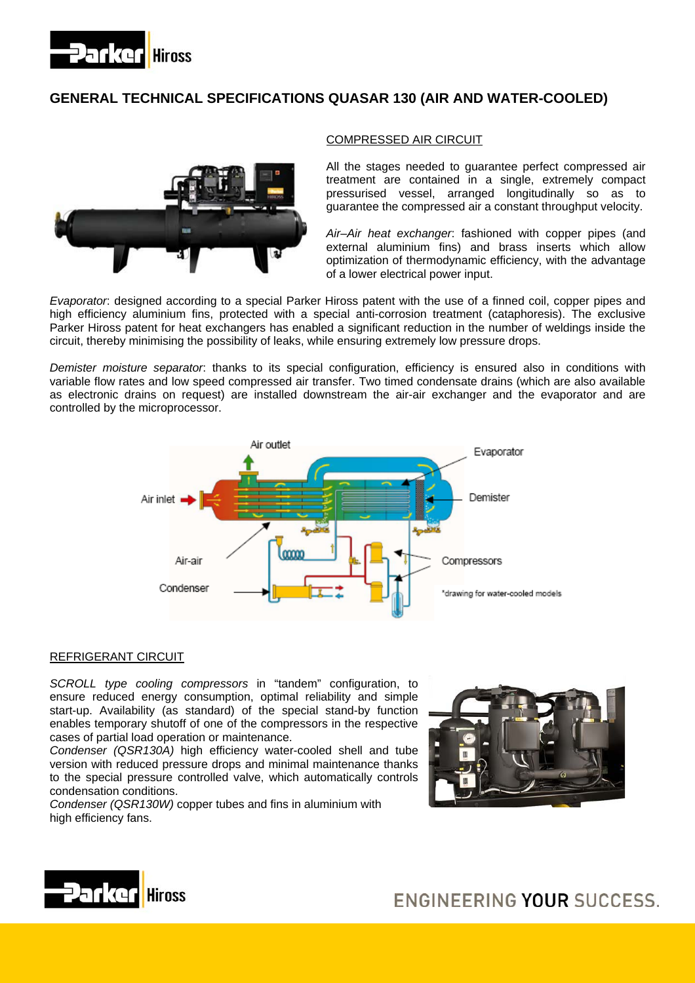

# **GENERAL TECHNICAL SPECIFICATIONS QUASAR 130 (AIR AND WATER-COOLED)**



# COMPRESSED AIR CIRCUIT

guarantee the compressed air a constant throughput velocity. All the stages needed to guarantee perfect compressed air treatment are contained in a single, extremely compact pressurised vessel, arranged longitudinally so as to

*Air–Air heat exchanger*: fashioned with copper pipes (and external aluminium fins) and brass inserts which allow optimization of thermodynamic efficiency, with the advantage of a lower electrical power input.

*Evaporator*: designed according to a special Parker Hiross patent with the use of a finned coil, copper pipes and high efficiency aluminium fins, protected with a special anti-corrosion treatment (cataphoresis). The exclusive Parker Hiross patent for heat exchangers has enabled a significant reduction in the number of weldings inside the circuit, thereby minimising the possibility of leaks, while ensuring extremely low pressure drops.

*Demister moisture separator*: thanks to its special configuration, efficiency is ensured also in conditions with variable flow rates and low speed compressed air transfer. Two timed condensate drains (which are also available as electronic drains on request) are installed downstream the air-air exchanger and the evaporator and are controlled by the microprocessor.



#### REFRIGERANT CIRCUIT

*SCROLL type cooling compressors* in "tandem" configuration, to ensure reduced energy consumption, optimal reliability and simple start-up. Availability (as standard) of the special stand-by function enables temporary shutoff of one of the compressors in the respective cases of partial load operation or maintenance.

*Condenser (QSR130A)* high efficiency water-cooled shell and tube version with reduced pressure drops and minimal maintenance thanks to the special pressure controlled valve, which automatically controls condensation conditions.

*Condenser (QSR130W)* copper tubes and fins in aluminium with high efficiency fans.